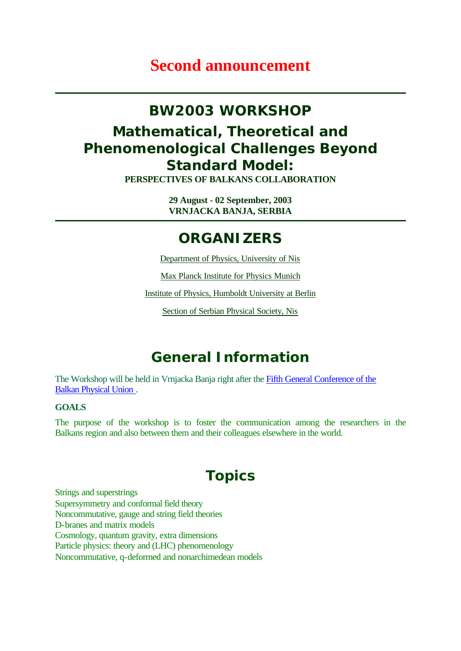# **Second announcement**

# **BW2003 WORKSHOP**

# **Mathematical, Theoretical and Phenomenological Challenges Beyond Standard Model:**

**PERSPECTIVES OF BALKANS COLLABORATION**

**29 August - 02 September, 2003 VRNJACKA BANJA, SERBIA**

## **ORGANIZERS**

Department of Physics, University of Nis

Max Planck Institute for Physics Munich

Institute of Physics, Humboldt University at Berlin

Section of Serbian Physical Society, Nis

# **General Information**

The Workshop will be held in Vrnjacka Banja right after the Fifth General Conference of the Balkan Physical Union .

#### **GOALS**

The purpose of the workshop is to foster the communication among the researchers in the Balkans region and also between them and their colleagues elsewhere in the world.

# **Topics**

Strings and superstrings Supersymmetry and conformal field theory Noncommutative, gauge and string field theories D-branes and matrix models Cosmology, quantum gravity, extra dimensions Particle physics: theory and (LHC) phenomenology Noncommutative, q-deformed and nonarchimedean models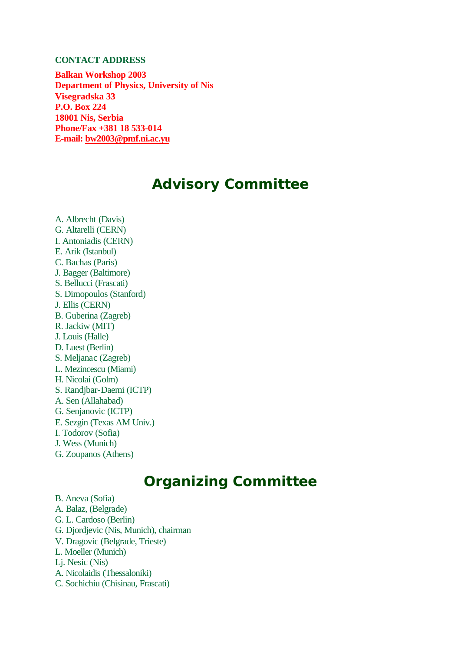#### **CONTACT ADDRESS**

**Balkan Workshop 2003 Department of Physics, University of Nis Visegradska 33 P.O. Box 224 18001 Nis, Serbia Phone/Fax +381 18 533-014 E-mail: bw2003@pmf.ni.ac.yu**

## **Advisory Committee**

A. Albrecht (Davis) G. Altarelli (CERN) I. Antoniadis (CERN) E. Arik (Istanbul) C. Bachas (Paris) J. Bagger (Baltimore) S. Bellucci (Frascati) S. Dimopoulos (Stanford) J. Ellis (CERN) B. Guberina (Zagreb) R. Jackiw (MIT) J. Louis (Halle) D. Luest (Berlin) S. Meljanac (Zagreb) L. Mezincescu (Miami) H. Nicolai (Golm) S. Randjbar-Daemi (ICTP) A. Sen (Allahabad) G. Senjanovic (ICTP) E. Sezgin (Texas AM Univ.) I. Todorov (Sofia) J. Wess (Munich) G. Zoupanos (Athens)

# **Organizing Committee**

B. Aneva (Sofia) A. Balaz, (Belgrade) G. L. Cardoso (Berlin) G. Djordjevic (Nis, Munich), chairman V. Dragovic (Belgrade, Trieste) L. Moeller (Munich) Lj. Nesic (Nis) A. Nicolaidis (Thessaloniki) C. Sochichiu (Chisinau, Frascati)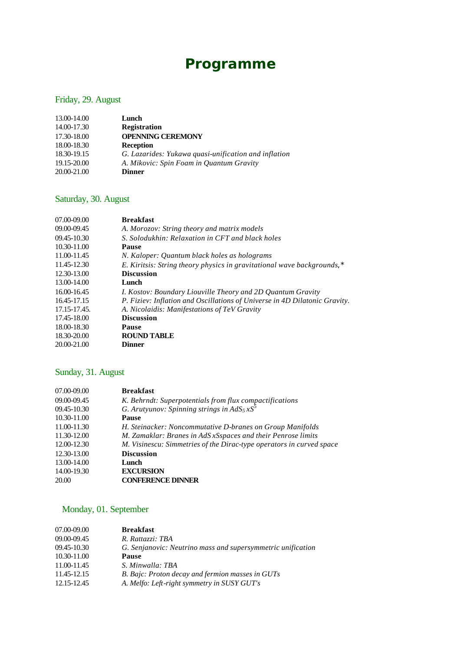# **Programme**

### Friday, 29. August

| 13.00-14.00 | Lunch                                                |
|-------------|------------------------------------------------------|
| 14.00-17.30 | <b>Registration</b>                                  |
| 17.30-18.00 | <b>OPENNING CEREMONY</b>                             |
| 18.00-18.30 | <b>Reception</b>                                     |
| 18.30-19.15 | G. Lazarides: Yukawa quasi-unification and inflation |
| 19.15-20.00 | A. Mikovic: Spin Foam in Quantum Gravity             |
| 20.00-21.00 | <b>Dinner</b>                                        |

### Saturday, 30. August

| 09.00-09.45<br>A. Morozov: String theory and matrix models<br>S. Solodukhin: Relaxation in CFT and black holes<br>$09.45 - 10.30$<br>10.30-11.00<br>Pause |
|-----------------------------------------------------------------------------------------------------------------------------------------------------------|
|                                                                                                                                                           |
|                                                                                                                                                           |
|                                                                                                                                                           |
| 11.00-11.45<br>N. Kaloper: Quantum black holes as holograms                                                                                               |
| 11.45-12.30<br>E. Kiritsis: String theory physics in gravitational wave backgrounds, $\star$                                                              |
| 12.30-13.00<br><b>Discussion</b>                                                                                                                          |
| 13.00-14.00<br>Lunch                                                                                                                                      |
| 16.00-16.45<br><i>I. Kostov: Boundary Liouville Theory and 2D Quantum Gravity</i>                                                                         |
| P. Fiziev: Inflation and Oscillations of Universe in 4D Dilatonic Gravity.<br>16.45-17.15                                                                 |
| 17.15-17.45.<br>A. Nicolaidis: Manifestations of TeV Gravity                                                                                              |
| <b>Discussion</b><br>17.45-18.00                                                                                                                          |
| 18.00-18.30<br><b>Pause</b>                                                                                                                               |
| <b>ROUND TABLE</b><br>18.30-20.00                                                                                                                         |
| 20.00-21.00<br>Dinner                                                                                                                                     |

### Sunday, 31. August

| 07.00-09.00 | <b>Breakfast</b>                                                                                                |
|-------------|-----------------------------------------------------------------------------------------------------------------|
| 09.00-09.45 |                                                                                                                 |
| 09.45-10.30 | K. Behrndt: Superpotentials from flux compactifications<br>G. Arutyunov: Spinning strings in $AdS_5 \times S^5$ |
| 10.30-11.00 | <b>Pause</b>                                                                                                    |
| 11.00-11.30 | H. Steinacker: Noncommutative D-branes on Group Manifolds                                                       |
| 11.30-12.00 | M. Zamaklar: Branes in AdS xSspaces and their Penrose limits                                                    |
| 12.00-12.30 | M. Visinescu: Simmetries of the Dirac-type operators in curved space                                            |
| 12.30-13.00 | <b>Discussion</b>                                                                                               |
| 13.00-14.00 | Lunch                                                                                                           |
| 14.00-19.30 | <b>EXCURSION</b>                                                                                                |
| 20.00       | <b>CONFERENCE DINNER</b>                                                                                        |

### Monday, 01. September

| 07.00-09.00 | <b>Breakfast</b>                                            |
|-------------|-------------------------------------------------------------|
| 09.00-09.45 | R. Rattazzi: TBA                                            |
| 09.45-10.30 | G. Senjanovic: Neutrino mass and supersymmetric unification |
| 10.30-11.00 | <b>Pause</b>                                                |
| 11.00-11.45 | S. Minwalla: TBA                                            |
| 11.45-12.15 | B. Bajc: Proton decay and fermion masses in GUTs            |
| 12.15-12.45 | A. Melfo: Left-right symmetry in SUSY GUT's                 |
|             |                                                             |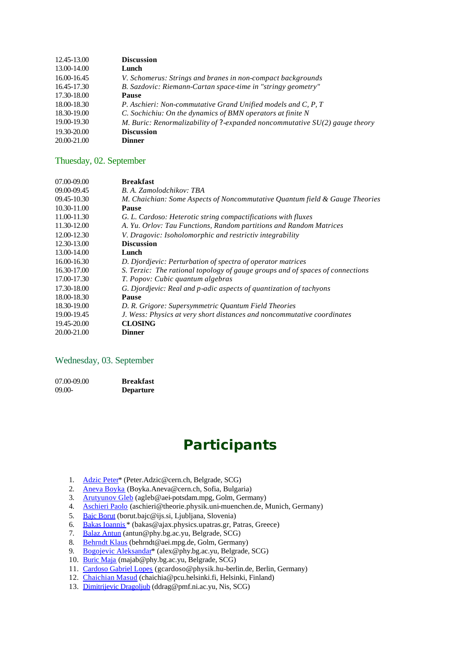| 13.00-14.00<br>Lunch<br>16.00-16.45<br>V. Schomerus: Strings and branes in non-compact backgrounds<br>B. Sazdovic: Riemann-Cartan space-time in "stringy geometry"<br>16.45-17.30<br>17.30-18.00<br><b>Pause</b><br>18.00-18.30<br>P. Aschieri: Non-commutative Grand Unified models and C, P, T |  |
|--------------------------------------------------------------------------------------------------------------------------------------------------------------------------------------------------------------------------------------------------------------------------------------------------|--|
|                                                                                                                                                                                                                                                                                                  |  |
|                                                                                                                                                                                                                                                                                                  |  |
|                                                                                                                                                                                                                                                                                                  |  |
|                                                                                                                                                                                                                                                                                                  |  |
|                                                                                                                                                                                                                                                                                                  |  |
| C. Sochichiu: On the dynamics of BMN operators at finite N<br>18.30-19.00                                                                                                                                                                                                                        |  |
| 19.00-19.30<br>M. Buric: Renormalizability of $?$ -expanded noncommutative $SU(2)$ gauge theory                                                                                                                                                                                                  |  |
| 19.30-20.00<br><b>Discussion</b>                                                                                                                                                                                                                                                                 |  |
| 20.00-21.00<br><b>Dinner</b>                                                                                                                                                                                                                                                                     |  |

#### Thuesday, 02. September

| 07.00-09.00 | <b>Breakfast</b>                                                              |
|-------------|-------------------------------------------------------------------------------|
| 09.00-09.45 | B. A. Zamolodchikov: TBA                                                      |
| 09.45-10.30 | M. Chaichian: Some Aspects of Noncommutative Quantum field & Gauge Theories   |
| 10.30-11.00 | Pause                                                                         |
| 11.00-11.30 | G. L. Cardoso: Heterotic string compactifications with fluxes                 |
| 11.30-12.00 | A. Yu. Orlov: Tau Functions, Random partitions and Random Matrices            |
| 12.00-12.30 | V. Dragovic: Isoholomorphic and restrictiv integrability                      |
| 12.30-13.00 | <b>Discussion</b>                                                             |
| 13.00-14.00 | Lunch                                                                         |
| 16.00-16.30 | D. Djordjevic: Perturbation of spectra of operator matrices                   |
| 16.30-17.00 | S. Terzic: The rational topology of gauge groups and of spaces of connections |
| 17.00-17.30 | T. Popov: Cubic quantum algebras                                              |
| 17.30-18.00 | G. Djordjevic: Real and p-adic aspects of quantization of tachyons            |
| 18.00-18.30 | <b>Pause</b>                                                                  |
| 18.30-19.00 | D. R. Grigore: Supersymmetric Quantum Field Theories                          |
| 19.00-19.45 | J. Wess: Physics at very short distances and noncommutative coordinates       |
| 19.45-20.00 | <b>CLOSING</b>                                                                |
| 20.00-21.00 | <b>Dinner</b>                                                                 |
|             |                                                                               |

#### Wednesday, 03. September

| 07.00-09.00 | <b>Breakfast</b> |
|-------------|------------------|
| 09.00-      | <b>Departure</b> |

# **Participants**

- 1. Adzic Peter\* (Peter.Adzic@cern.ch, Belgrade, SCG)
- 2. Aneva Boyka (Boyka.Aneva@cern.ch, Sofia, Bulgaria)
- 3. Arutyunov Gleb (agleb@aei-potsdam.mpg, Golm, Germany)
- 4. Aschieri Paolo (aschieri@theorie.physik.uni-muenchen.de, Munich, Germany)
- 5. Bajc Borut (borut.bajc@ijs.si, Ljubljana, Slovenia)
- 6. Bakas Ioannis \* (bakas@ajax.physics.upatras.gr, Patras, Greece)
- 7. Balaz Antun (antun@phy.bg.ac.yu, Belgrade, SCG)
- 8. Behrndt Klaus (behrndt@aei.mpg.de, Golm, Germany)
- 9. Bogojevic Aleksandar<sup>\*</sup> (alex @phy.bg.ac.yu, Belgrade, SCG)
- 10. Buric Maja (majab@phy.bg.ac.yu, Belgrade, SCG)
- 11. Cardoso Gabriel Lopes (gcardoso@physik.hu-berlin.de, Berlin, Germany)
- 12. Chaichian Masud (chaichia@pcu.helsinki.fi, Helsinki, Finland)
- 13. Dimitrijevic Dragoljub (ddrag@pmf.ni.ac.yu, Nis, SCG)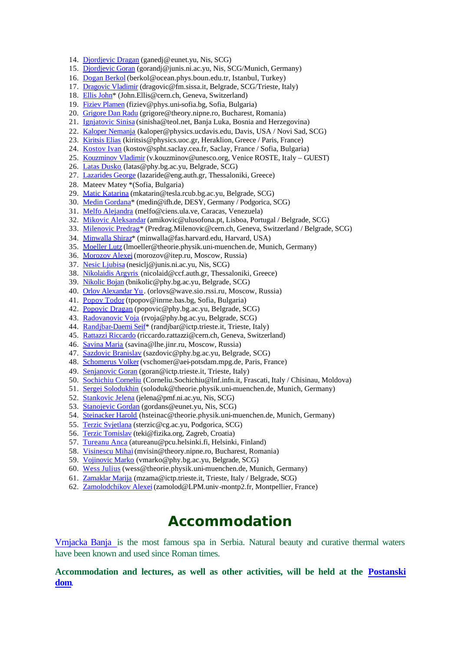- 14. Djordjevic Dragan (ganedj@eunet.yu, Nis, SCG)
- 15. Djordjevic Goran (gorandj@junis.ni.ac.yu, Nis, SCG/Munich, Germany)
- 16. Dogan Berkol (berkol@ocean.phys.boun.edu.tr, Istanbul, Turkey)
- 17. Dragovic Vladimir (dragovic@fm.sissa.it, Belgrade, SCG/Trieste, Italy)
- 18. Ellis John<sup>\*</sup> (John.Ellis@cern.ch, Geneva, Switzerland)
- 19. Fiziev Plamen (fiziev@phys.uni-sofia.bg, Sofia, Bulgaria)
- 20. Grigore Dan Radu (grigore@theory.nipne.ro, Bucharest, Romania)
- 21. Ignjatovic Sinisa (sinisha@teol.net, Banja Luka, Bosnia and Herzegovina)
- 22. Kaloper Nemanja (kaloper@physics.ucdavis.edu, Davis, USA / Novi Sad, SCG)
- 23. Kiritsis Elias (kiritsis@physics.uoc.gr, Heraklion, Greece / Paris, France)
- 24. Kostov Ivan (kostov@spht.saclay.cea.fr, Saclay, France / Sofia, Bulgaria)
- 25. Kouzminov Vladimir (v.kouzminov@unesco.org, Venice ROSTE, Italy GUEST)
- 26. Latas Dusko (latas@phy.bg.ac.yu, Belgrade, SCG)
- 27. Lazarides George (lazaride@eng.auth.gr, Thessaloniki, Greece)
- 28. Mateev Matey \*(Sofia, Bulgaria)
- 29. Matic Katarina (mkatarin@tesla.rcub.bg.ac.yu, Belgrade, SCG)
- 30. Medin Gordana\* (medin@ifh.de, DESY, Germany / Podgorica, SCG)
- 31. Melfo Alejandra (melfo@ciens.ula.ve, Caracas, Venezuela)
- 32. Mikovic Aleksandar (amikovic@ulusofona.pt, Lisboa, Portugal / Belgrade, SCG)
- 33. Milenovic Predrag\* (Predrag.Milenovic@cern.ch, Geneva, Switzerland / Belgrade, SCG)
- 34. Minwalla Shiraz\* (minwalla@fas.harvard.edu, Harvard, USA)
- 35. Moeller Lutz (lmoeller@theorie.physik.uni-muenchen.de, Munich, Germany)
- 36. Morozov Alexei (morozov@itep.ru, Moscow, Russia)
- 37. Nesic Ljubisa (nesiclj@junis.ni.ac.yu, Nis, SCG)
- 38. Nikolaidis Argyris (nicolaid@ccf.auth.gr, Thessaloniki, Greece)
- 39. Nikolic Bojan (bnikolic@phy.bg.ac.yu, Belgrade, SCG)
- 40. Orlov Alexandar Yu . (orlovs@wave.sio.rssi.ru, Moscow, Russia)
- 41. Popov Todor (tpopov@inrne.bas.bg, Sofia, Bulgaria)
- 42. Popovic Dragan (popovic@phy.bg.ac.yu, Belgrade, SCG)
- 43. Radovanovic Voja (rvoja@phy.bg.ac.yu, Belgrade, SCG)
- 44. Randibar-Daemi Seif<sup>\*</sup> (randjbar@ictp.trieste.it, Trieste, Italy)
- 45. Rattazzi Riccardo (riccardo.rattazzi@cern.ch, Geneva, Switzerland)
- 46. Savina Maria (savina@lhe.jinr.ru, Moscow, Russia)
- 47. Sazdovic Branislav (sazdovic@phy.bg.ac.yu, Belgrade, SCG)
- 48. Schomerus Volker (vschomer@aei-potsdam.mpg.de, Paris, France)
- 49. Senjanovic Goran (goran@ictp.trieste.it, Trieste, Italy)
- 50. Sochichiu Corneliu (Corneliu.Sochichiu@lnf.infn.it, Frascati, Italy / Chisinau, Moldova)
- 51. Sergei Solodukhin (soloduk@theorie.physik.uni-muenchen.de, Munich, Germany)
- 52. Stankovic Jelena (jelena@pmf.ni.ac.yu, Nis, SCG)
- 53. Stanojevic Gordan (gordans@eunet.yu, Nis, SCG)
- 54. Steinacker Harold (hsteinac@theorie.physik.uni-muenchen.de, Munich, Germany)
- 55. Terzic Svietlana (sterzic@cg.ac.yu, Podgorica, SCG)
- 56. Terzic Tomislav (teki@fizika.org, Zagreb, Croatia)
- 57. Tureanu Anca (atureanu@pcu.helsinki.fi, Helsinki, Finland)
- 58. Visinescu Mihai (mvisin@theory.nipne.ro, Bucharest, Romania)
- 59. Vojinovic Marko (vmarko@phy.bg.ac.yu, Belgrade, SCG)
- 60. Wess Julius (wess@theorie.physik.uni-muenchen.de, Munich, Germany)
- 61. Zamaklar Marija (mzama@ictp.trieste.it, Trieste, Italy / Belgrade, SCG)
- 62. Zamolodchikov Alexei (zamolod@LPM.univ-montp2.fr, Montpellier, France)

## **Accommodation**

Vrnjacka Banja is the most famous spa in Serbia. Natural beauty and curative thermal waters have been known and used since Roman times.

**Accommodation and lectures, as well as other activities, will be held at the Postanski dom**.